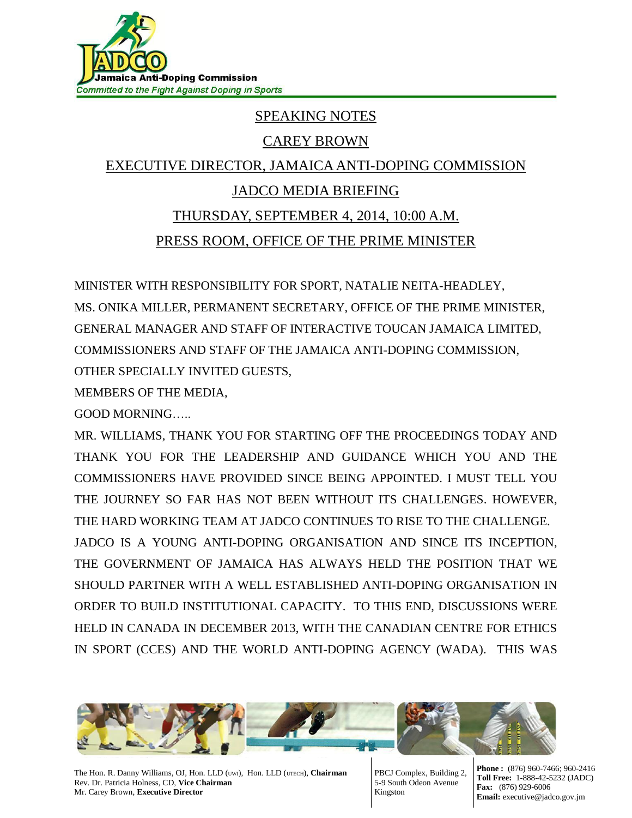

## SPEAKING NOTES

## CAREY BROWN

## EXECUTIVE DIRECTOR, JAMAICA ANTI-DOPING COMMISSION JADCO MEDIA BRIEFING THURSDAY, SEPTEMBER 4, 2014, 10:00 A.M. PRESS ROOM, OFFICE OF THE PRIME MINISTER

MINISTER WITH RESPONSIBILITY FOR SPORT, NATALIE NEITA-HEADLEY, MS. ONIKA MILLER, PERMANENT SECRETARY, OFFICE OF THE PRIME MINISTER, GENERAL MANAGER AND STAFF OF INTERACTIVE TOUCAN JAMAICA LIMITED, COMMISSIONERS AND STAFF OF THE JAMAICA ANTI-DOPING COMMISSION, OTHER SPECIALLY INVITED GUESTS,

MEMBERS OF THE MEDIA,

GOOD MORNING…..

MR. WILLIAMS, THANK YOU FOR STARTING OFF THE PROCEEDINGS TODAY AND THANK YOU FOR THE LEADERSHIP AND GUIDANCE WHICH YOU AND THE COMMISSIONERS HAVE PROVIDED SINCE BEING APPOINTED. I MUST TELL YOU THE JOURNEY SO FAR HAS NOT BEEN WITHOUT ITS CHALLENGES. HOWEVER, THE HARD WORKING TEAM AT JADCO CONTINUES TO RISE TO THE CHALLENGE.

JADCO IS A YOUNG ANTI-DOPING ORGANISATION AND SINCE ITS INCEPTION, THE GOVERNMENT OF JAMAICA HAS ALWAYS HELD THE POSITION THAT WE SHOULD PARTNER WITH A WELL ESTABLISHED ANTI-DOPING ORGANISATION IN ORDER TO BUILD INSTITUTIONAL CAPACITY. TO THIS END, DISCUSSIONS WERE HELD IN CANADA IN DECEMBER 2013, WITH THE CANADIAN CENTRE FOR ETHICS IN SPORT (CCES) AND THE WORLD ANTI-DOPING AGENCY (WADA). THIS WAS



The Hon. R. Danny Williams, OJ, Hon. LLD (UWI), Hon. LLD (UTECH), **Chairman** Rev. Dr. Patricia Holness, CD, **Vice Chairman** Mr. Carey Brown, **Executive Director**

PBCJ Complex, Building 2, 5-9 South Odeon Avenue Kingston

**Phone :** (876) 960-7466; 960-2416 **Toll Free:** 1-888-42-5232 (JADC) **Fax:** (876) 929-6006 **Email:** executive@jadco.gov.jm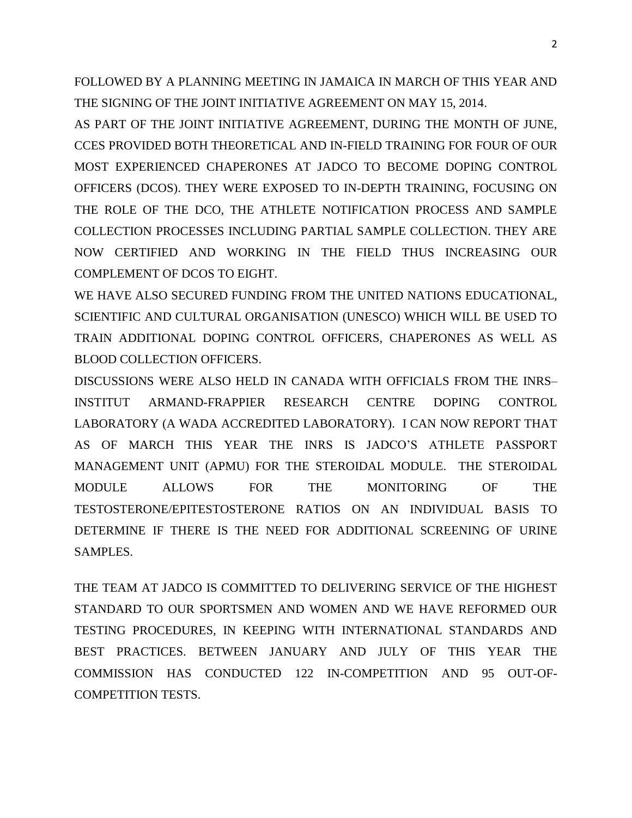FOLLOWED BY A PLANNING MEETING IN JAMAICA IN MARCH OF THIS YEAR AND THE SIGNING OF THE JOINT INITIATIVE AGREEMENT ON MAY 15, 2014.

AS PART OF THE JOINT INITIATIVE AGREEMENT, DURING THE MONTH OF JUNE, CCES PROVIDED BOTH THEORETICAL AND IN-FIELD TRAINING FOR FOUR OF OUR MOST EXPERIENCED CHAPERONES AT JADCO TO BECOME DOPING CONTROL OFFICERS (DCOS). THEY WERE EXPOSED TO IN-DEPTH TRAINING, FOCUSING ON THE ROLE OF THE DCO, THE ATHLETE NOTIFICATION PROCESS AND SAMPLE COLLECTION PROCESSES INCLUDING PARTIAL SAMPLE COLLECTION. THEY ARE NOW CERTIFIED AND WORKING IN THE FIELD THUS INCREASING OUR COMPLEMENT OF DCOS TO EIGHT.

WE HAVE ALSO SECURED FUNDING FROM THE UNITED NATIONS EDUCATIONAL, SCIENTIFIC AND CULTURAL ORGANISATION (UNESCO) WHICH WILL BE USED TO TRAIN ADDITIONAL DOPING CONTROL OFFICERS, CHAPERONES AS WELL AS BLOOD COLLECTION OFFICERS.

DISCUSSIONS WERE ALSO HELD IN CANADA WITH OFFICIALS FROM THE INRS– INSTITUT ARMAND-FRAPPIER RESEARCH CENTRE DOPING CONTROL LABORATORY (A WADA ACCREDITED LABORATORY). I CAN NOW REPORT THAT AS OF MARCH THIS YEAR THE INRS IS JADCO'S ATHLETE PASSPORT MANAGEMENT UNIT (APMU) FOR THE STEROIDAL MODULE. THE STEROIDAL MODULE ALLOWS FOR THE MONITORING OF THE TESTOSTERONE/EPITESTOSTERONE RATIOS ON AN INDIVIDUAL BASIS TO DETERMINE IF THERE IS THE NEED FOR ADDITIONAL SCREENING OF URINE SAMPLES.

THE TEAM AT JADCO IS COMMITTED TO DELIVERING SERVICE OF THE HIGHEST STANDARD TO OUR SPORTSMEN AND WOMEN AND WE HAVE REFORMED OUR TESTING PROCEDURES, IN KEEPING WITH INTERNATIONAL STANDARDS AND BEST PRACTICES. BETWEEN JANUARY AND JULY OF THIS YEAR THE COMMISSION HAS CONDUCTED 122 IN-COMPETITION AND 95 OUT-OF-COMPETITION TESTS.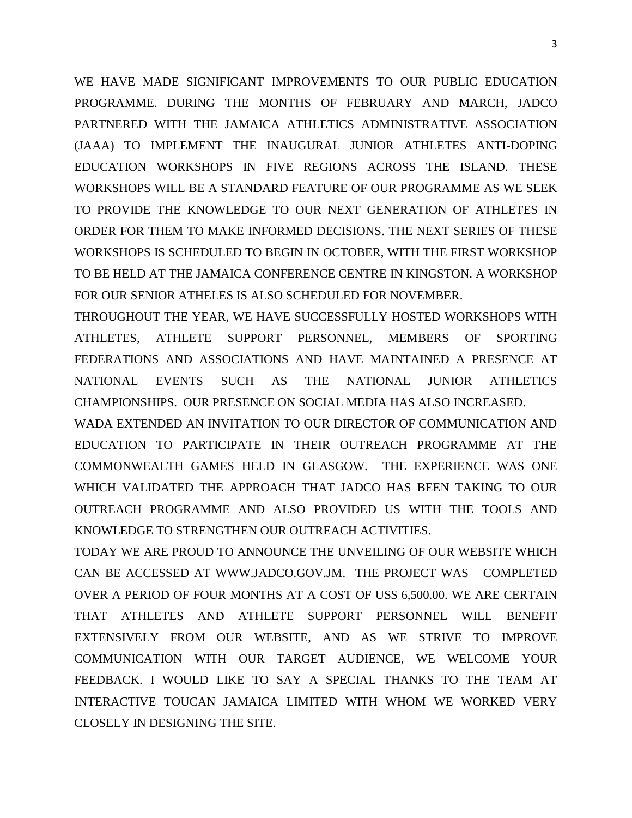WE HAVE MADE SIGNIFICANT IMPROVEMENTS TO OUR PUBLIC EDUCATION PROGRAMME. DURING THE MONTHS OF FEBRUARY AND MARCH, JADCO PARTNERED WITH THE JAMAICA ATHLETICS ADMINISTRATIVE ASSOCIATION (JAAA) TO IMPLEMENT THE INAUGURAL JUNIOR ATHLETES ANTI-DOPING EDUCATION WORKSHOPS IN FIVE REGIONS ACROSS THE ISLAND. THESE WORKSHOPS WILL BE A STANDARD FEATURE OF OUR PROGRAMME AS WE SEEK TO PROVIDE THE KNOWLEDGE TO OUR NEXT GENERATION OF ATHLETES IN ORDER FOR THEM TO MAKE INFORMED DECISIONS. THE NEXT SERIES OF THESE WORKSHOPS IS SCHEDULED TO BEGIN IN OCTOBER, WITH THE FIRST WORKSHOP TO BE HELD AT THE JAMAICA CONFERENCE CENTRE IN KINGSTON. A WORKSHOP FOR OUR SENIOR ATHELES IS ALSO SCHEDULED FOR NOVEMBER.

THROUGHOUT THE YEAR, WE HAVE SUCCESSFULLY HOSTED WORKSHOPS WITH ATHLETES, ATHLETE SUPPORT PERSONNEL, MEMBERS OF SPORTING FEDERATIONS AND ASSOCIATIONS AND HAVE MAINTAINED A PRESENCE AT NATIONAL EVENTS SUCH AS THE NATIONAL JUNIOR ATHLETICS CHAMPIONSHIPS. OUR PRESENCE ON SOCIAL MEDIA HAS ALSO INCREASED.

WADA EXTENDED AN INVITATION TO OUR DIRECTOR OF COMMUNICATION AND EDUCATION TO PARTICIPATE IN THEIR OUTREACH PROGRAMME AT THE COMMONWEALTH GAMES HELD IN GLASGOW. THE EXPERIENCE WAS ONE WHICH VALIDATED THE APPROACH THAT JADCO HAS BEEN TAKING TO OUR OUTREACH PROGRAMME AND ALSO PROVIDED US WITH THE TOOLS AND KNOWLEDGE TO STRENGTHEN OUR OUTREACH ACTIVITIES.

TODAY WE ARE PROUD TO ANNOUNCE THE UNVEILING OF OUR WEBSITE WHICH CAN BE ACCESSED AT [WWW.JADCO.GOV.JM.](http://www.jadco.gov.jm/) THE PROJECT WAS COMPLETED OVER A PERIOD OF FOUR MONTHS AT A COST OF US\$ 6,500.00. WE ARE CERTAIN THAT ATHLETES AND ATHLETE SUPPORT PERSONNEL WILL BENEFIT EXTENSIVELY FROM OUR WEBSITE, AND AS WE STRIVE TO IMPROVE COMMUNICATION WITH OUR TARGET AUDIENCE, WE WELCOME YOUR FEEDBACK. I WOULD LIKE TO SAY A SPECIAL THANKS TO THE TEAM AT INTERACTIVE TOUCAN JAMAICA LIMITED WITH WHOM WE WORKED VERY CLOSELY IN DESIGNING THE SITE.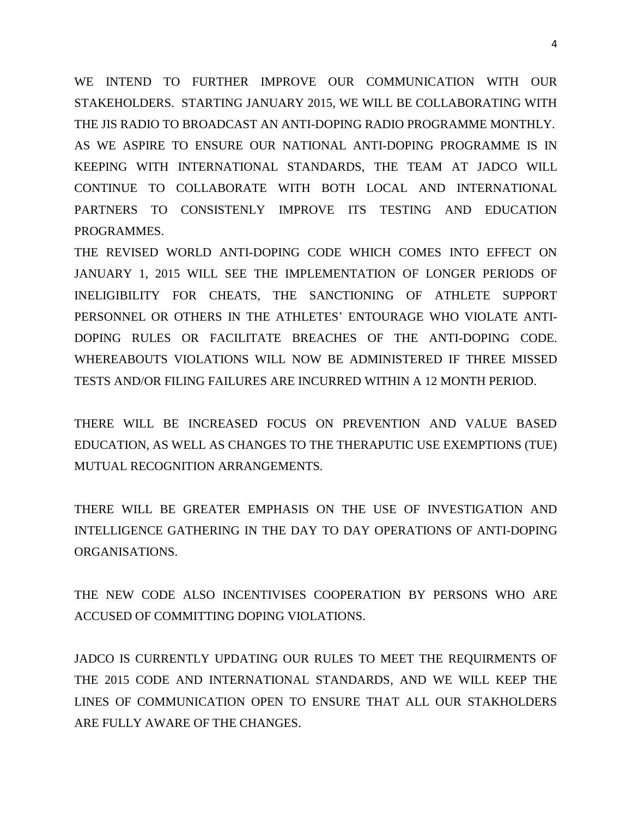WE INTEND TO FURTHER IMPROVE OUR COMMUNICATION WITH OUR STAKEHOLDERS. STARTING JANUARY 2015, WE WILL BE COLLABORATING WITH THE JIS RADIO TO BROADCAST AN ANTI-DOPING RADIO PROGRAMME MONTHLY. AS WE ASPIRE TO ENSURE OUR NATIONAL ANTI-DOPING PROGRAMME IS IN KEEPING WITH INTERNATIONAL STANDARDS, THE TEAM AT JADCO WILL CONTINUE TO COLLABORATE WITH BOTH LOCAL AND INTERNATIONAL PARTNERS TO CONSISTENLY IMPROVE ITS TESTING AND EDUCATION PROGRAMMES.

THE REVISED WORLD ANTI-DOPING CODE WHICH COMES INTO EFFECT ON JANUARY 1, 2015 WILL SEE THE IMPLEMENTATION OF LONGER PERIODS OF INELIGIBILITY FOR CHEATS, THE SANCTIONING OF ATHLETE SUPPORT PERSONNEL OR OTHERS IN THE ATHLETES' ENTOURAGE WHO VIOLATE ANTI-DOPING RULES OR FACILITATE BREACHES OF THE ANTI-DOPING CODE. WHEREABOUTS VIOLATIONS WILL NOW BE ADMINISTERED IF THREE MISSED TESTS AND/OR FILING FAILURES ARE INCURRED WITHIN A 12 MONTH PERIOD.

THERE WILL BE INCREASED FOCUS ON PREVENTION AND VALUE BASED EDUCATION, AS WELL AS CHANGES TO THE THERAPUTIC USE EXEMPTIONS (TUE) MUTUAL RECOGNITION ARRANGEMENTS.

THERE WILL BE GREATER EMPHASIS ON THE USE OF INVESTIGATION AND INTELLIGENCE GATHERING IN THE DAY TO DAY OPERATIONS OF ANTI-DOPING ORGANISATIONS.

THE NEW CODE ALSO INCENTIVISES COOPERATION BY PERSONS WHO ARE ACCUSED OF COMMITTING DOPING VIOLATIONS.

JADCO IS CURRENTLY UPDATING OUR RULES TO MEET THE REQUIRMENTS OF THE 2015 CODE AND INTERNATIONAL STANDARDS, AND WE WILL KEEP THE LINES OF COMMUNICATION OPEN TO ENSURE THAT ALL OUR STAKHOLDERS ARE FULLY AWARE OF THE CHANGES.